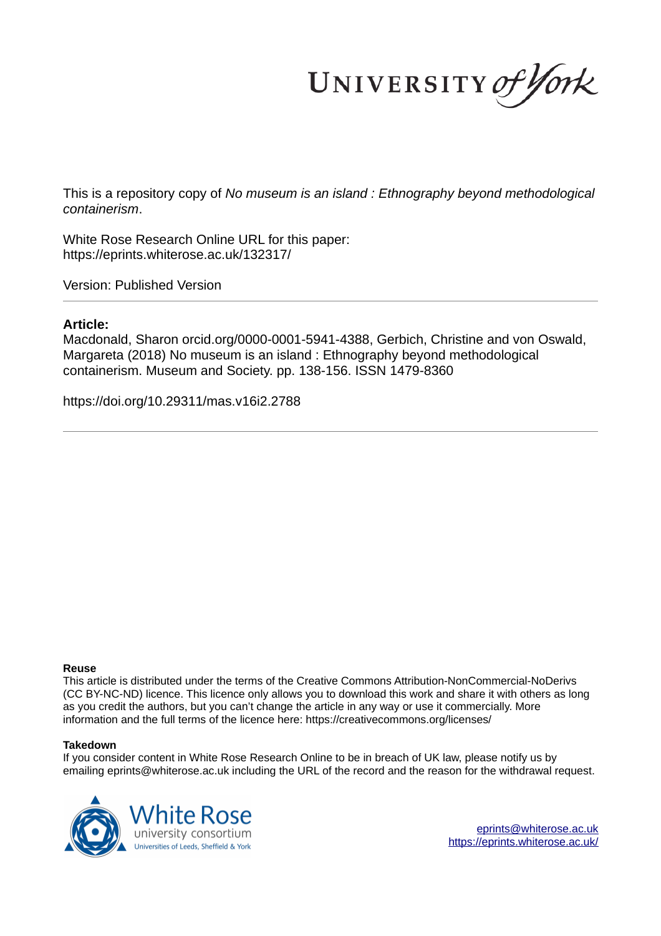UNIVERSITY of York

This is a repository copy of *No museum is an island : Ethnography beyond methodological containerism*.

White Rose Research Online URL for this paper: https://eprints.whiterose.ac.uk/132317/

Version: Published Version

## **Article:**

Macdonald, Sharon orcid.org/0000-0001-5941-4388, Gerbich, Christine and von Oswald, Margareta (2018) No museum is an island : Ethnography beyond methodological containerism. Museum and Society. pp. 138-156. ISSN 1479-8360

https://doi.org/10.29311/mas.v16i2.2788

## **Reuse**

This article is distributed under the terms of the Creative Commons Attribution-NonCommercial-NoDerivs (CC BY-NC-ND) licence. This licence only allows you to download this work and share it with others as long as you credit the authors, but you can't change the article in any way or use it commercially. More information and the full terms of the licence here: https://creativecommons.org/licenses/

## **Takedown**

If you consider content in White Rose Research Online to be in breach of UK law, please notify us by emailing eprints@whiterose.ac.uk including the URL of the record and the reason for the withdrawal request.



eprints@whiterose.ac.uk https://eprints.whiterose.ac.uk/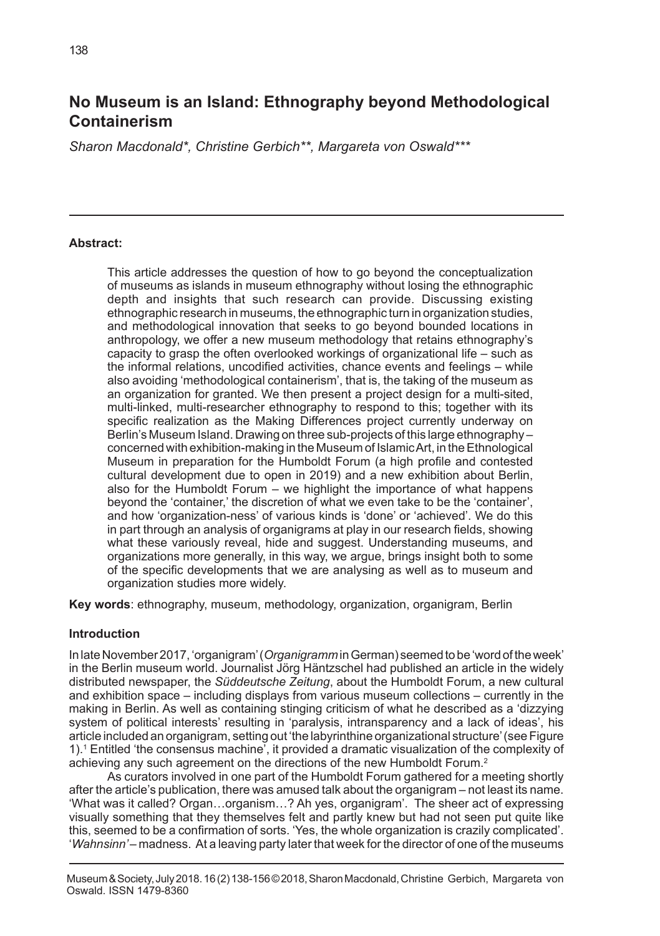# **No Museum is an Island: Ethnography beyond Methodological Containerism**

*Sharon Macdonald\*, Christine Gerbich\*\*, Margareta von Oswald\*\*\**

#### **Abstract:**

This article addresses the question of how to go beyond the conceptualization of museums as islands in museum ethnography without losing the ethnographic depth and insights that such research can provide. Discussing existing ethnographic research in museums, the ethnographic turn in organization studies, and methodological innovation that seeks to go beyond bounded locations in anthropology, we offer a new museum methodology that retains ethnography's capacity to grasp the often overlooked workings of organizational life – such as the informal relations, uncodified activities, chance events and feelings – while also avoiding 'methodological containerism', that is, the taking of the museum as an organization for granted. We then present a project design for a multi-sited, multi-linked, multi-researcher ethnography to respond to this; together with its specific realization as the Making Differences project currently underway on Berlin's Museum Island. Drawing on three sub-projects of this large ethnography – concerned with exhibition-making in the Museum of Islamic Art, in the Ethnological Museum in preparation for the Humboldt Forum (a high profile and contested cultural development due to open in 2019) and a new exhibition about Berlin, also for the Humboldt Forum – we highlight the importance of what happens beyond the 'container,' the discretion of what we even take to be the 'container', and how 'organization-ness' of various kinds is 'done' or 'achieved'. We do this in part through an analysis of organigrams at play in our research fields, showing what these variously reveal, hide and suggest. Understanding museums, and organizations more generally, in this way, we argue, brings insight both to some of the specific developments that we are analysing as well as to museum and organization studies more widely.

**Key words**: ethnography, museum, methodology, organization, organigram, Berlin

#### **Introduction**

In late November 2017, 'organigram' (*Organigramm* in German) seemed to be 'word of the week' in the Berlin museum world. Journalist Jörg Häntzschel had published an article in the widely distributed newspaper, the *Süddeutsche Zeitung*, about the Humboldt Forum, a new cultural and exhibition space – including displays from various museum collections – currently in the making in Berlin. As well as containing stinging criticism of what he described as a 'dizzying system of political interests' resulting in 'paralysis, intransparency and a lack of ideas', his article included an organigram, setting out 'the labyrinthine organizational structure' (see Figure 1).<sup>1</sup> Entitled 'the consensus machine', it provided a dramatic visualization of the complexity of achieving any such agreement on the directions of the new Humboldt Forum.<sup>2</sup>

As curators involved in one part of the Humboldt Forum gathered for a meeting shortly after the article's publication, there was amused talk about the organigram – not least its name. 'What was it called? Organ…organism…? Ah yes, organigram'. The sheer act of expressing visually something that they themselves felt and partly knew but had not seen put quite like this, seemed to be a confirmation of sorts. 'Yes, the whole organization is crazily complicated'. '*Wahnsinn'* – madness.At a leaving party later that week for the director of one of the museums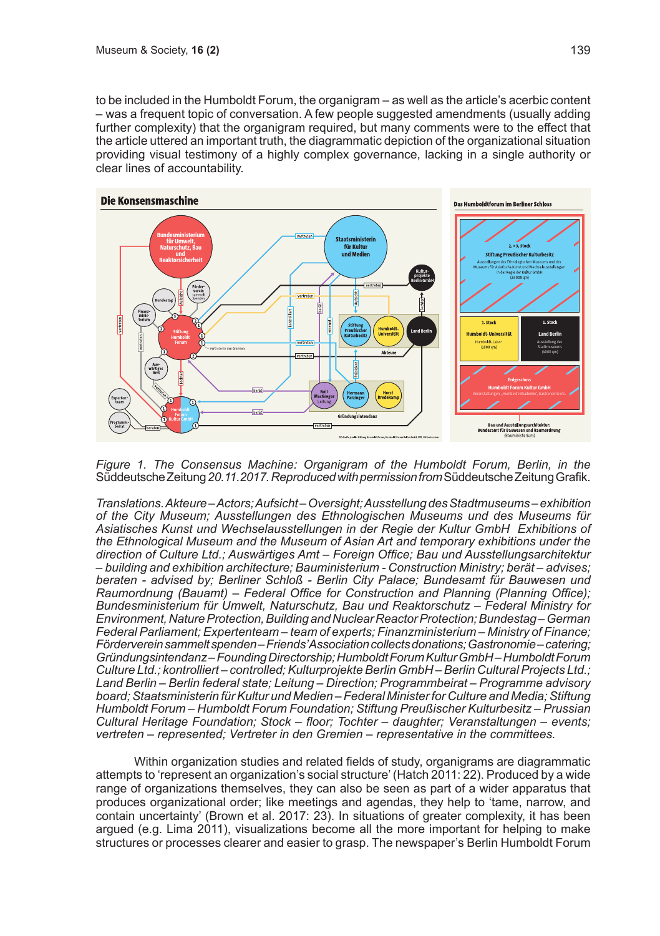to be included in the Humboldt Forum, the organigram – as well as the article's acerbic content – was a frequent topic of conversation. A few people suggested amendments (usually adding further complexity) that the organigram required, but many comments were to the effect that the article uttered an important truth, the diagrammatic depiction of the organizational situation providing visual testimony of a highly complex governance, lacking in a single authority or clear lines of accountability.



*Figure 1. The Consensus Machine: Organigram of the Humboldt Forum, Berlin, in the*  Süddeutsche Zeitung *20.11.2017. Reproduced with permission from*Süddeutsche Zeitung Grafik.

*Translations. Akteure – Actors; Aufsicht – Oversight; Ausstellung des Stadtmuseums – exhibition of the City Museum; Ausstellungen des Ethnologischen Museums und des Museums für Asiatisches Kunst und Wechselausstellungen in der Regie der Kultur GmbH Exhibitions of the Ethnological Museum and the Museum of Asian Art and temporary exhibitions under the direction of Culture Ltd.; Auswärtiges Amt – Foreign Office; Bau und Ausstellungsarchitektur – building and exhibition architecture; Bauministerium - Construction Ministry; berät – advises; beraten - advised by; Berliner Schloß - Berlin City Palace; Bundesamt für Bauwesen und Raumordnung (Bauamt) – Federal Office for Construction and Planning (Planning Office); Bundesministerium für Umwelt, Naturschutz, Bau und Reaktorschutz – Federal Ministry for Environment, Nature Protection, Building and Nuclear Reactor Protection; Bundestag – German Federal Parliament; Expertenteam – team of experts; Finanzministerium – Ministry of Finance; Förderverein sammelt spenden – Friends' Association collects donations; Gastronomie – catering; Gründungsintendanz – Founding Directorship; Humboldt Forum Kultur GmbH – Humboldt Forum Culture Ltd.; kontrolliert – controlled; Kulturprojekte Berlin GmbH – Berlin Cultural Projects Ltd.; Land Berlin – Berlin federal state; Leitung – Direction; Programmbeirat – Programme advisory board; Staatsministerin für Kultur und Medien – Federal Minister for Culture and Media; Stiftung Humboldt Forum – Humboldt Forum Foundation; Stiftung Preußischer Kulturbesitz – Prussian Cultural Heritage Foundation; Stock – floor; Tochter – daughter; Veranstaltungen – events; vertreten – represented; Vertreter in den Gremien – representative in the committees.*

Within organization studies and related fields of study, organigrams are diagrammatic attempts to 'represent an organization's social structure' (Hatch 2011: 22). Produced by a wide range of organizations themselves, they can also be seen as part of a wider apparatus that produces organizational order; like meetings and agendas, they help to 'tame, narrow, and contain uncertainty' (Brown et al. 2017: 23). In situations of greater complexity, it has been argued (e.g. Lima 2011), visualizations become all the more important for helping to make structures or processes clearer and easier to grasp. The newspaper's Berlin Humboldt Forum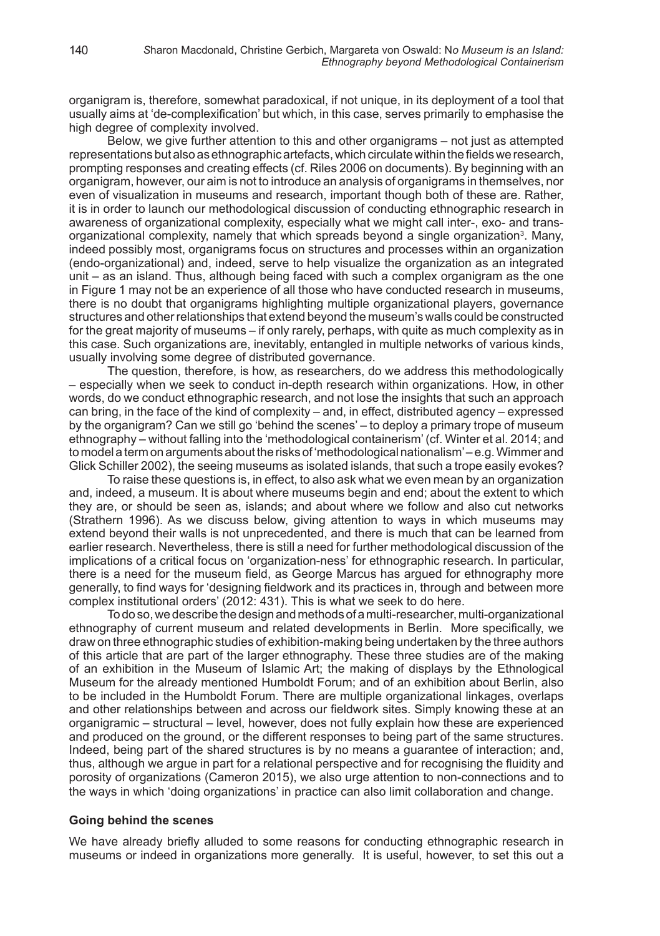organigram is, therefore, somewhat paradoxical, if not unique, in its deployment of a tool that usually aims at 'de-complexification' but which, in this case, serves primarily to emphasise the high degree of complexity involved.

Below, we give further attention to this and other organigrams – not just as attempted representations but also as ethnographic artefacts, which circulate within the fields we research, prompting responses and creating effects (cf. Riles 2006 on documents). By beginning with an organigram, however, our aim is not to introduce an analysis of organigrams in themselves, nor even of visualization in museums and research, important though both of these are. Rather, it is in order to launch our methodological discussion of conducting ethnographic research in awareness of organizational complexity, especially what we might call inter-, exo- and transorganizational complexity, namely that which spreads beyond a single organization<sup>3</sup>. Many, indeed possibly most, organigrams focus on structures and processes within an organization (endo-organizational) and, indeed, serve to help visualize the organization as an integrated unit – as an island. Thus, although being faced with such a complex organigram as the one in Figure 1 may not be an experience of all those who have conducted research in museums, there is no doubt that organigrams highlighting multiple organizational players, governance structures and other relationships that extend beyond the museum's walls could be constructed for the great majority of museums – if only rarely, perhaps, with quite as much complexity as in this case. Such organizations are, inevitably, entangled in multiple networks of various kinds, usually involving some degree of distributed governance.

The question, therefore, is how, as researchers, do we address this methodologically – especially when we seek to conduct in-depth research within organizations. How, in other words, do we conduct ethnographic research, and not lose the insights that such an approach can bring, in the face of the kind of complexity – and, in effect, distributed agency – expressed by the organigram? Can we still go 'behind the scenes' – to deploy a primary trope of museum ethnography – without falling into the 'methodological containerism' (cf. Winter et al. 2014; and to model a term on arguments about the risks of 'methodological nationalism' – e.g. Wimmer and Glick Schiller 2002), the seeing museums as isolated islands, that such a trope easily evokes?

To raise these questions is, in effect, to also ask what we even mean by an organization and, indeed, a museum. It is about where museums begin and end; about the extent to which they are, or should be seen as, islands; and about where we follow and also cut networks (Strathern 1996). As we discuss below, giving attention to ways in which museums may extend beyond their walls is not unprecedented, and there is much that can be learned from earlier research. Nevertheless, there is still a need for further methodological discussion of the implications of a critical focus on 'organization-ness' for ethnographic research. In particular, there is a need for the museum field, as George Marcus has argued for ethnography more generally, to find ways for 'designing fieldwork and its practices in, through and between more complex institutional orders' (2012: 431). This is what we seek to do here.

To do so, we describe the design and methods of a multi-researcher, multi-organizational ethnography of current museum and related developments in Berlin. More specifically, we draw on three ethnographic studies of exhibition-making being undertaken by the three authors of this article that are part of the larger ethnography. These three studies are of the making of an exhibition in the Museum of Islamic Art; the making of displays by the Ethnological Museum for the already mentioned Humboldt Forum; and of an exhibition about Berlin, also to be included in the Humboldt Forum. There are multiple organizational linkages, overlaps and other relationships between and across our fieldwork sites. Simply knowing these at an organigramic – structural – level, however, does not fully explain how these are experienced and produced on the ground, or the different responses to being part of the same structures. Indeed, being part of the shared structures is by no means a guarantee of interaction; and, thus, although we argue in part for a relational perspective and for recognising the fluidity and porosity of organizations (Cameron 2015), we also urge attention to non-connections and to the ways in which 'doing organizations' in practice can also limit collaboration and change.

#### **Going behind the scenes**

We have already briefly alluded to some reasons for conducting ethnographic research in museums or indeed in organizations more generally. It is useful, however, to set this out a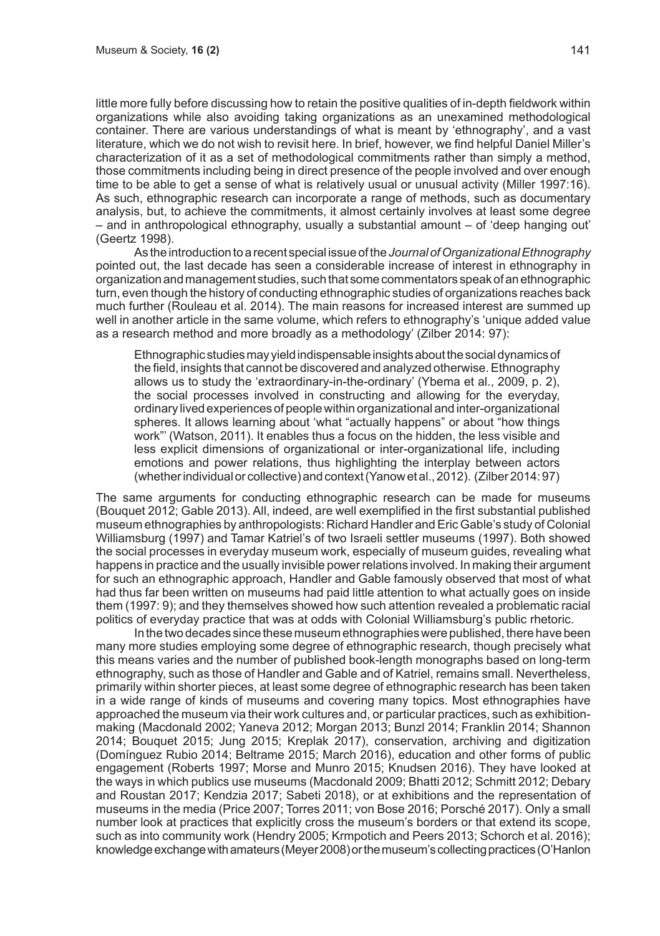little more fully before discussing how to retain the positive qualities of in-depth fieldwork within organizations while also avoiding taking organizations as an unexamined methodological container. There are various understandings of what is meant by 'ethnography', and a vast literature, which we do not wish to revisit here. In brief, however, we find helpful Daniel Miller's characterization of it as a set of methodological commitments rather than simply a method, those commitments including being in direct presence of the people involved and over enough time to be able to get a sense of what is relatively usual or unusual activity (Miller 1997:16). As such, ethnographic research can incorporate a range of methods, such as documentary analysis, but, to achieve the commitments, it almost certainly involves at least some degree – and in anthropological ethnography, usually a substantial amount – of 'deep hanging out' (Geertz 1998).

As the introduction to a recent special issue of the *Journal of Organizational Ethnography* pointed out, the last decade has seen a considerable increase of interest in ethnography in organization and management studies, such that some commentators speak of an ethnographic turn, even though the history of conducting ethnographic studies of organizations reaches back much further (Rouleau et al. 2014). The main reasons for increased interest are summed up well in another article in the same volume, which refers to ethnography's 'unique added value as a research method and more broadly as a methodology' (Zilber 2014: 97):

Ethnographic studies may yield indispensable insights about the social dynamics of the field, insights that cannot be discovered and analyzed otherwise. Ethnography allows us to study the 'extraordinary-in-the-ordinary' (Ybema et al., 2009, p. 2), the social processes involved in constructing and allowing for the everyday, ordinary lived experiences of people within organizational and inter-organizational spheres. It allows learning about 'what "actually happens" or about "how things work"' (Watson, 2011). It enables thus a focus on the hidden, the less visible and less explicit dimensions of organizational or inter-organizational life, including emotions and power relations, thus highlighting the interplay between actors (whether individual or collective) and context (Yanow et al., 2012). (Zilber 2014: 97)

The same arguments for conducting ethnographic research can be made for museums (Bouquet 2012; Gable 2013). All, indeed, are well exemplified in the first substantial published museum ethnographies by anthropologists: Richard Handler and Eric Gable's study of Colonial Williamsburg (1997) and Tamar Katriel's of two Israeli settler museums (1997). Both showed the social processes in everyday museum work, especially of museum guides, revealing what happens in practice and the usually invisible power relations involved. In making their argument for such an ethnographic approach, Handler and Gable famously observed that most of what had thus far been written on museums had paid little attention to what actually goes on inside them (1997: 9); and they themselves showed how such attention revealed a problematic racial politics of everyday practice that was at odds with Colonial Williamsburg's public rhetoric.

In the two decades since these museum ethnographies were published, there have been many more studies employing some degree of ethnographic research, though precisely what this means varies and the number of published book-length monographs based on long-term ethnography, such as those of Handler and Gable and of Katriel, remains small. Nevertheless, primarily within shorter pieces, at least some degree of ethnographic research has been taken in a wide range of kinds of museums and covering many topics. Most ethnographies have approached the museum via their work cultures and, or particular practices, such as exhibitionmaking (Macdonald 2002; Yaneva 2012; Morgan 2013; Bunzl 2014; Franklin 2014; Shannon 2014; Bouquet 2015; Jung 2015; Kreplak 2017), conservation, archiving and digitization (Domínguez Rubio 2014; Beltrame 2015; March 2016), education and other forms of public engagement (Roberts 1997; Morse and Munro 2015; Knudsen 2016). They have looked at the ways in which publics use museums (Macdonald 2009; Bhatti 2012; Schmitt 2012; Debary and Roustan 2017; Kendzia 2017; Sabeti 2018), or at exhibitions and the representation of museums in the media (Price 2007; Torres 2011; von Bose 2016; Porsché 2017). Only a small number look at practices that explicitly cross the museum's borders or that extend its scope, such as into community work (Hendry 2005; Krmpotich and Peers 2013; Schorch et al. 2016); knowledge exchange with amateurs (Meyer 2008) or the museum's collecting practices (O'Hanlon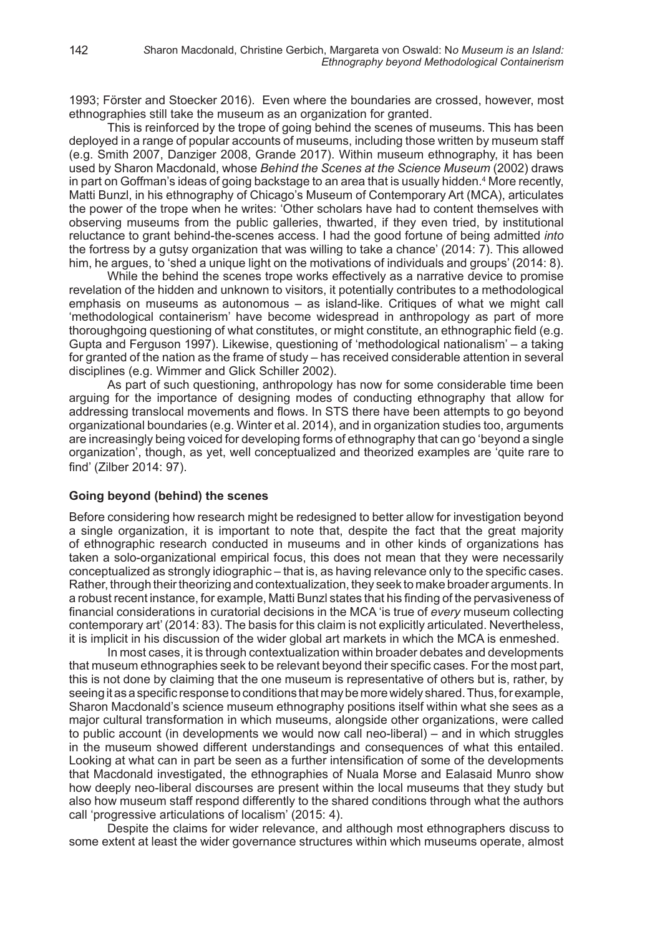1993; Förster and Stoecker 2016). Even where the boundaries are crossed, however, most ethnographies still take the museum as an organization for granted.

This is reinforced by the trope of going behind the scenes of museums. This has been deployed in a range of popular accounts of museums, including those written by museum staff (e.g. Smith 2007, Danziger 2008, Grande 2017). Within museum ethnography, it has been used by Sharon Macdonald, whose *Behind the Scenes at the Science Museum* (2002) draws in part on Goffman's ideas of going backstage to an area that is usually hidden.<sup>4</sup> More recently, Matti Bunzl, in his ethnography of Chicago's Museum of Contemporary Art (MCA), articulates the power of the trope when he writes: 'Other scholars have had to content themselves with observing museums from the public galleries, thwarted, if they even tried, by institutional reluctance to grant behind-the-scenes access. I had the good fortune of being admitted *into* the fortress by a gutsy organization that was willing to take a chance' (2014: 7). This allowed him, he argues, to 'shed a unique light on the motivations of individuals and groups' (2014: 8).

While the behind the scenes trope works effectively as a narrative device to promise revelation of the hidden and unknown to visitors, it potentially contributes to a methodological emphasis on museums as autonomous – as island-like. Critiques of what we might call 'methodological containerism' have become widespread in anthropology as part of more thoroughgoing questioning of what constitutes, or might constitute, an ethnographic field (e.g. Gupta and Ferguson 1997). Likewise, questioning of 'methodological nationalism' – a taking for granted of the nation as the frame of study – has received considerable attention in several disciplines (e.g. Wimmer and Glick Schiller 2002).

As part of such questioning, anthropology has now for some considerable time been arguing for the importance of designing modes of conducting ethnography that allow for addressing translocal movements and flows. In STS there have been attempts to go beyond organizational boundaries (e.g. Winter et al. 2014), and in organization studies too, arguments are increasingly being voiced for developing forms of ethnography that can go 'beyond a single organization', though, as yet, well conceptualized and theorized examples are 'quite rare to find' (Zilber 2014: 97).

#### **Going beyond (behind) the scenes**

Before considering how research might be redesigned to better allow for investigation beyond a single organization, it is important to note that, despite the fact that the great majority of ethnographic research conducted in museums and in other kinds of organizations has taken a solo-organizational empirical focus, this does not mean that they were necessarily conceptualized as strongly idiographic – that is, as having relevance only to the specific cases. Rather, through their theorizing and contextualization, they seek to make broader arguments. In a robust recent instance, for example, Matti Bunzl states that his finding of the pervasiveness of financial considerations in curatorial decisions in the MCA 'is true of *every* museum collecting contemporary art' (2014: 83). The basis for this claim is not explicitly articulated. Nevertheless, it is implicit in his discussion of the wider global art markets in which the MCA is enmeshed.

In most cases, it is through contextualization within broader debates and developments that museum ethnographies seek to be relevant beyond their specific cases. For the most part, this is not done by claiming that the one museum is representative of others but is, rather, by seeing it as a specific response to conditions that may be more widely shared. Thus, for example, Sharon Macdonald's science museum ethnography positions itself within what she sees as a major cultural transformation in which museums, alongside other organizations, were called to public account (in developments we would now call neo-liberal) – and in which struggles in the museum showed different understandings and consequences of what this entailed. Looking at what can in part be seen as a further intensification of some of the developments that Macdonald investigated, the ethnographies of Nuala Morse and Ealasaid Munro show how deeply neo-liberal discourses are present within the local museums that they study but also how museum staff respond differently to the shared conditions through what the authors call 'progressive articulations of localism' (2015: 4).

Despite the claims for wider relevance, and although most ethnographers discuss to some extent at least the wider governance structures within which museums operate, almost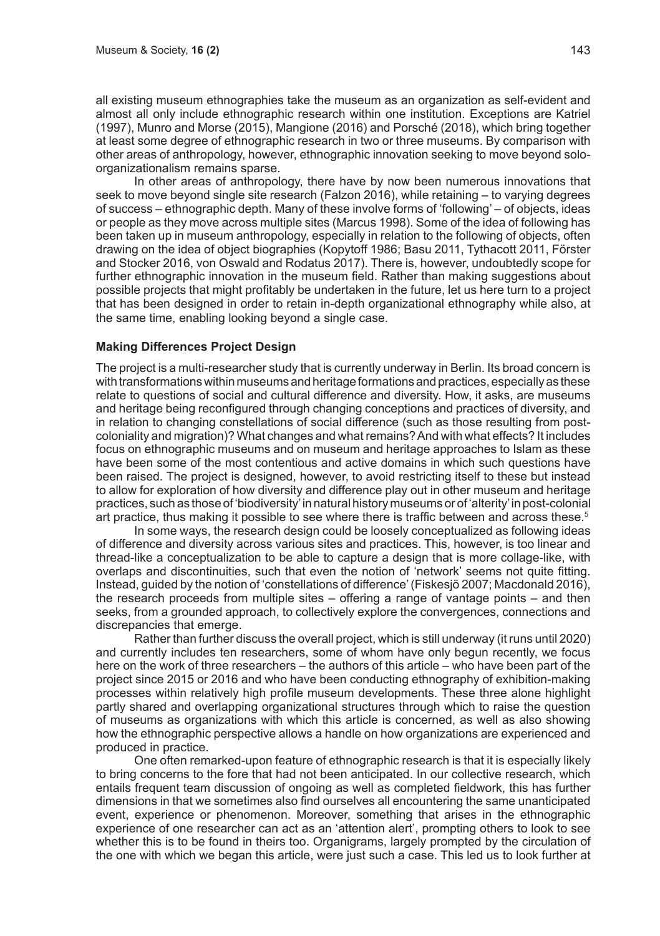all existing museum ethnographies take the museum as an organization as self-evident and almost all only include ethnographic research within one institution. Exceptions are Katriel (1997), Munro and Morse (2015), Mangione (2016) and Porsché (2018), which bring together at least some degree of ethnographic research in two or three museums. By comparison with other areas of anthropology, however, ethnographic innovation seeking to move beyond soloorganizationalism remains sparse.

In other areas of anthropology, there have by now been numerous innovations that seek to move beyond single site research (Falzon 2016), while retaining – to varying degrees of success – ethnographic depth. Many of these involve forms of 'following' – of objects, ideas or people as they move across multiple sites (Marcus 1998). Some of the idea of following has been taken up in museum anthropology, especially in relation to the following of objects, often drawing on the idea of object biographies (Kopytoff 1986; Basu 2011, Tythacott 2011, Förster and Stocker 2016, von Oswald and Rodatus 2017). There is, however, undoubtedly scope for further ethnographic innovation in the museum field. Rather than making suggestions about possible projects that might profitably be undertaken in the future, let us here turn to a project that has been designed in order to retain in-depth organizational ethnography while also, at the same time, enabling looking beyond a single case.

#### **Making Differences Project Design**

The project is a multi-researcher study that is currently underway in Berlin. Its broad concern is with transformations within museums and heritage formations and practices, especially as these relate to questions of social and cultural difference and diversity. How, it asks, are museums and heritage being reconfigured through changing conceptions and practices of diversity, and in relation to changing constellations of social difference (such as those resulting from postcoloniality and migration)? What changes and what remains? And with what effects? It includes focus on ethnographic museums and on museum and heritage approaches to Islam as these have been some of the most contentious and active domains in which such questions have been raised. The project is designed, however, to avoid restricting itself to these but instead to allow for exploration of how diversity and difference play out in other museum and heritage practices, such as those of 'biodiversity' in natural history museums or of 'alterity' in post-colonial art practice, thus making it possible to see where there is traffic between and across these.<sup>5</sup>

In some ways, the research design could be loosely conceptualized as following ideas of difference and diversity across various sites and practices. This, however, is too linear and thread-like a conceptualization to be able to capture a design that is more collage-like, with overlaps and discontinuities, such that even the notion of 'network' seems not quite fitting. Instead, guided by the notion of 'constellations of difference' (Fiskesjö 2007; Macdonald 2016), the research proceeds from multiple sites – offering a range of vantage points – and then seeks, from a grounded approach, to collectively explore the convergences, connections and discrepancies that emerge.

Rather than further discuss the overall project, which is still underway (it runs until 2020) and currently includes ten researchers, some of whom have only begun recently, we focus here on the work of three researchers – the authors of this article – who have been part of the project since 2015 or 2016 and who have been conducting ethnography of exhibition-making processes within relatively high profile museum developments. These three alone highlight partly shared and overlapping organizational structures through which to raise the question of museums as organizations with which this article is concerned, as well as also showing how the ethnographic perspective allows a handle on how organizations are experienced and produced in practice.

One often remarked-upon feature of ethnographic research is that it is especially likely to bring concerns to the fore that had not been anticipated. In our collective research, which entails frequent team discussion of ongoing as well as completed fieldwork, this has further dimensions in that we sometimes also find ourselves all encountering the same unanticipated event, experience or phenomenon. Moreover, something that arises in the ethnographic experience of one researcher can act as an 'attention alert', prompting others to look to see whether this is to be found in theirs too. Organigrams, largely prompted by the circulation of the one with which we began this article, were just such a case. This led us to look further at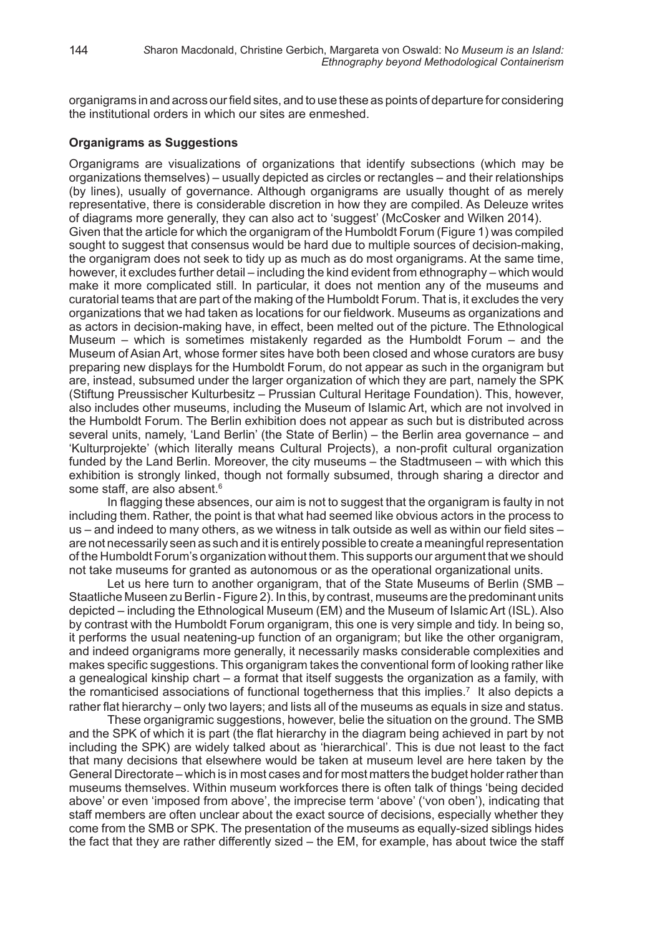organigrams in and across our field sites, and to use these as points of departure for considering the institutional orders in which our sites are enmeshed.

#### **Organigrams as Suggestions**

Organigrams are visualizations of organizations that identify subsections (which may be organizations themselves) – usually depicted as circles or rectangles – and their relationships (by lines), usually of governance. Although organigrams are usually thought of as merely representative, there is considerable discretion in how they are compiled. As Deleuze writes of diagrams more generally, they can also act to 'suggest' (McCosker and Wilken 2014). Given that the article for which the organigram of the Humboldt Forum (Figure 1) was compiled sought to suggest that consensus would be hard due to multiple sources of decision-making, the organigram does not seek to tidy up as much as do most organigrams. At the same time, however, it excludes further detail – including the kind evident from ethnography – which would make it more complicated still. In particular, it does not mention any of the museums and curatorial teams that are part of the making of the Humboldt Forum. That is, it excludes the very organizations that we had taken as locations for our fieldwork. Museums as organizations and as actors in decision-making have, in effect, been melted out of the picture. The Ethnological Museum – which is sometimes mistakenly regarded as the Humboldt Forum – and the Museum of Asian Art, whose former sites have both been closed and whose curators are busy preparing new displays for the Humboldt Forum, do not appear as such in the organigram but are, instead, subsumed under the larger organization of which they are part, namely the SPK (Stiftung Preussischer Kulturbesitz – Prussian Cultural Heritage Foundation). This, however, also includes other museums, including the Museum of Islamic Art, which are not involved in the Humboldt Forum. The Berlin exhibition does not appear as such but is distributed across several units, namely, 'Land Berlin' (the State of Berlin) – the Berlin area governance – and 'Kulturprojekte' (which literally means Cultural Projects), a non-profit cultural organization funded by the Land Berlin. Moreover, the city museums – the Stadtmuseen – with which this exhibition is strongly linked, though not formally subsumed, through sharing a director and some staff, are also absent.<sup>6</sup>

In flagging these absences, our aim is not to suggest that the organigram is faulty in not including them. Rather, the point is that what had seemed like obvious actors in the process to us – and indeed to many others, as we witness in talk outside as well as within our field sites – are not necessarily seen as such and it is entirely possible to create a meaningful representation of the Humboldt Forum's organization without them. This supports our argument that we should not take museums for granted as autonomous or as the operational organizational units.

Let us here turn to another organigram, that of the State Museums of Berlin (SMB – Staatliche Museen zu Berlin - Figure 2). In this, by contrast, museums are the predominant units depicted – including the Ethnological Museum (EM) and the Museum of Islamic Art (ISL). Also by contrast with the Humboldt Forum organigram, this one is very simple and tidy. In being so, it performs the usual neatening-up function of an organigram; but like the other organigram, and indeed organigrams more generally, it necessarily masks considerable complexities and makes specific suggestions. This organigram takes the conventional form of looking rather like a genealogical kinship chart – a format that itself suggests the organization as a family, with the romanticised associations of functional togetherness that this implies.<sup>7</sup> It also depicts a rather flat hierarchy – only two layers; and lists all of the museums as equals in size and status.

These organigramic suggestions, however, belie the situation on the ground. The SMB and the SPK of which it is part (the flat hierarchy in the diagram being achieved in part by not including the SPK) are widely talked about as 'hierarchical'. This is due not least to the fact that many decisions that elsewhere would be taken at museum level are here taken by the General Directorate – which is in most cases and for most matters the budget holder rather than museums themselves. Within museum workforces there is often talk of things 'being decided above' or even 'imposed from above', the imprecise term 'above' ('von oben'), indicating that staff members are often unclear about the exact source of decisions, especially whether they come from the SMB or SPK. The presentation of the museums as equally-sized siblings hides the fact that they are rather differently sized – the EM, for example, has about twice the staff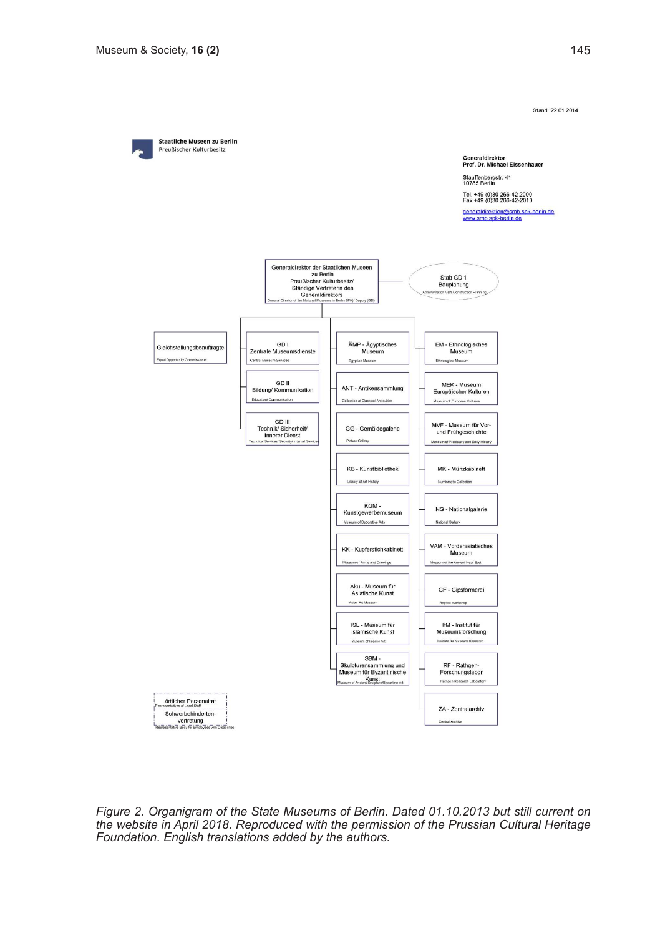Stand: 22.01.2014



*Figure 2. Organigram of the State Museums of Berlin. Dated 01.10.2013 but still current on the website in April 2018. Reproduced with the permission of the Prussian Cultural Heritage Foundation. English translations added by the authors.*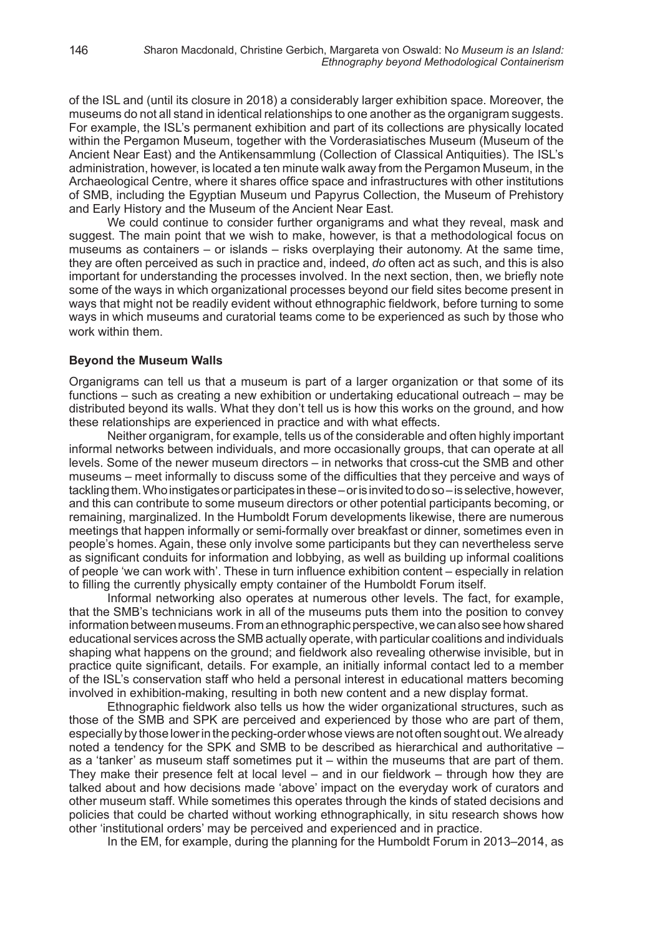of the ISL and (until its closure in 2018) a considerably larger exhibition space. Moreover, the museums do not all stand in identical relationships to one another as the organigram suggests. For example, the ISL's permanent exhibition and part of its collections are physically located within the Pergamon Museum, together with the Vorderasiatisches Museum (Museum of the Ancient Near East) and the Antikensammlung (Collection of Classical Antiquities). The ISL's administration, however, is located a ten minute walk away from the Pergamon Museum, in the Archaeological Centre, where it shares office space and infrastructures with other institutions of SMB, including the Egyptian Museum und Papyrus Collection, the Museum of Prehistory and Early History and the Museum of the Ancient Near East.

We could continue to consider further organigrams and what they reveal, mask and suggest. The main point that we wish to make, however, is that a methodological focus on museums as containers – or islands – risks overplaying their autonomy. At the same time, they are often perceived as such in practice and, indeed, *do* often act as such, and this is also important for understanding the processes involved. In the next section, then, we briefly note some of the ways in which organizational processes beyond our field sites become present in ways that might not be readily evident without ethnographic fieldwork, before turning to some ways in which museums and curatorial teams come to be experienced as such by those who work within them.

#### **Beyond the Museum Walls**

Organigrams can tell us that a museum is part of a larger organization or that some of its functions – such as creating a new exhibition or undertaking educational outreach – may be distributed beyond its walls. What they don't tell us is how this works on the ground, and how these relationships are experienced in practice and with what effects.

Neither organigram, for example, tells us of the considerable and often highly important informal networks between individuals, and more occasionally groups, that can operate at all levels. Some of the newer museum directors – in networks that cross-cut the SMB and other museums – meet informally to discuss some of the difficulties that they perceive and ways of tackling them. Who instigates or participates in these – or is invited to do so – is selective, however, and this can contribute to some museum directors or other potential participants becoming, or remaining, marginalized. In the Humboldt Forum developments likewise, there are numerous meetings that happen informally or semi-formally over breakfast or dinner, sometimes even in people's homes. Again, these only involve some participants but they can nevertheless serve as significant conduits for information and lobbying, as well as building up informal coalitions of people 'we can work with'. These in turn influence exhibition content – especially in relation to filling the currently physically empty container of the Humboldt Forum itself.

Informal networking also operates at numerous other levels. The fact, for example, that the SMB's technicians work in all of the museums puts them into the position to convey information between museums. From an ethnographic perspective, we can also see how shared educational services across the SMB actually operate, with particular coalitions and individuals shaping what happens on the ground; and fieldwork also revealing otherwise invisible, but in practice quite significant, details. For example, an initially informal contact led to a member of the ISL's conservation staff who held a personal interest in educational matters becoming involved in exhibition-making, resulting in both new content and a new display format.

Ethnographic fieldwork also tells us how the wider organizational structures, such as those of the SMB and SPK are perceived and experienced by those who are part of them, especially by those lower in the pecking-order whose views are not often sought out. We already noted a tendency for the SPK and SMB to be described as hierarchical and authoritative – as a 'tanker' as museum staff sometimes put it – within the museums that are part of them. They make their presence felt at local level – and in our fieldwork – through how they are talked about and how decisions made 'above' impact on the everyday work of curators and other museum staff. While sometimes this operates through the kinds of stated decisions and policies that could be charted without working ethnographically, in situ research shows how other 'institutional orders' may be perceived and experienced and in practice.

In the EM, for example, during the planning for the Humboldt Forum in 2013–2014, as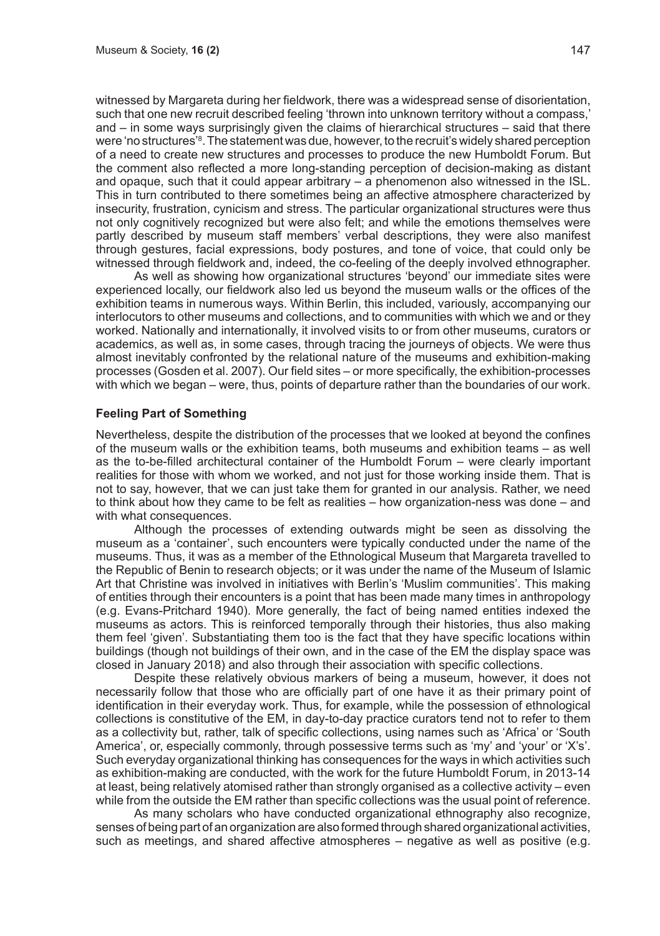witnessed by Margareta during her fieldwork, there was a widespread sense of disorientation, such that one new recruit described feeling 'thrown into unknown territory without a compass,' and – in some ways surprisingly given the claims of hierarchical structures – said that there were 'no structures'<sup>8</sup> . The statement was due, however, to the recruit's widely shared perception of a need to create new structures and processes to produce the new Humboldt Forum. But the comment also reflected a more long-standing perception of decision-making as distant and opaque, such that it could appear arbitrary – a phenomenon also witnessed in the ISL. This in turn contributed to there sometimes being an affective atmosphere characterized by insecurity, frustration, cynicism and stress. The particular organizational structures were thus not only cognitively recognized but were also felt; and while the emotions themselves were partly described by museum staff members' verbal descriptions, they were also manifest through gestures, facial expressions, body postures, and tone of voice, that could only be witnessed through fieldwork and, indeed, the co-feeling of the deeply involved ethnographer.

As well as showing how organizational structures 'beyond' our immediate sites were experienced locally, our fieldwork also led us beyond the museum walls or the offices of the exhibition teams in numerous ways. Within Berlin, this included, variously, accompanying our interlocutors to other museums and collections, and to communities with which we and or they worked. Nationally and internationally, it involved visits to or from other museums, curators or academics, as well as, in some cases, through tracing the journeys of objects. We were thus almost inevitably confronted by the relational nature of the museums and exhibition-making processes (Gosden et al. 2007). Our field sites – or more specifically, the exhibition-processes with which we began – were, thus, points of departure rather than the boundaries of our work.

#### **Feeling Part of Something**

Nevertheless, despite the distribution of the processes that we looked at beyond the confines of the museum walls or the exhibition teams, both museums and exhibition teams – as well as the to-be-filled architectural container of the Humboldt Forum – were clearly important realities for those with whom we worked, and not just for those working inside them. That is not to say, however, that we can just take them for granted in our analysis. Rather, we need to think about how they came to be felt as realities – how organization-ness was done – and with what consequences.

Although the processes of extending outwards might be seen as dissolving the museum as a 'container', such encounters were typically conducted under the name of the museums. Thus, it was as a member of the Ethnological Museum that Margareta travelled to the Republic of Benin to research objects; or it was under the name of the Museum of Islamic Art that Christine was involved in initiatives with Berlin's 'Muslim communities'. This making of entities through their encounters is a point that has been made many times in anthropology (e.g. Evans-Pritchard 1940). More generally, the fact of being named entities indexed the museums as actors. This is reinforced temporally through their histories, thus also making them feel 'given'. Substantiating them too is the fact that they have specific locations within buildings (though not buildings of their own, and in the case of the EM the display space was closed in January 2018) and also through their association with specific collections.

Despite these relatively obvious markers of being a museum, however, it does not necessarily follow that those who are officially part of one have it as their primary point of identification in their everyday work. Thus, for example, while the possession of ethnological collections is constitutive of the EM, in day-to-day practice curators tend not to refer to them as a collectivity but, rather, talk of specific collections, using names such as 'Africa' or 'South America', or, especially commonly, through possessive terms such as 'my' and 'your' or 'X's'. Such everyday organizational thinking has consequences for the ways in which activities such as exhibition-making are conducted, with the work for the future Humboldt Forum, in 2013-14 at least, being relatively atomised rather than strongly organised as a collective activity – even while from the outside the EM rather than specific collections was the usual point of reference.

As many scholars who have conducted organizational ethnography also recognize, senses of being part of an organization are also formed through shared organizational activities, such as meetings, and shared affective atmospheres – negative as well as positive (e.g.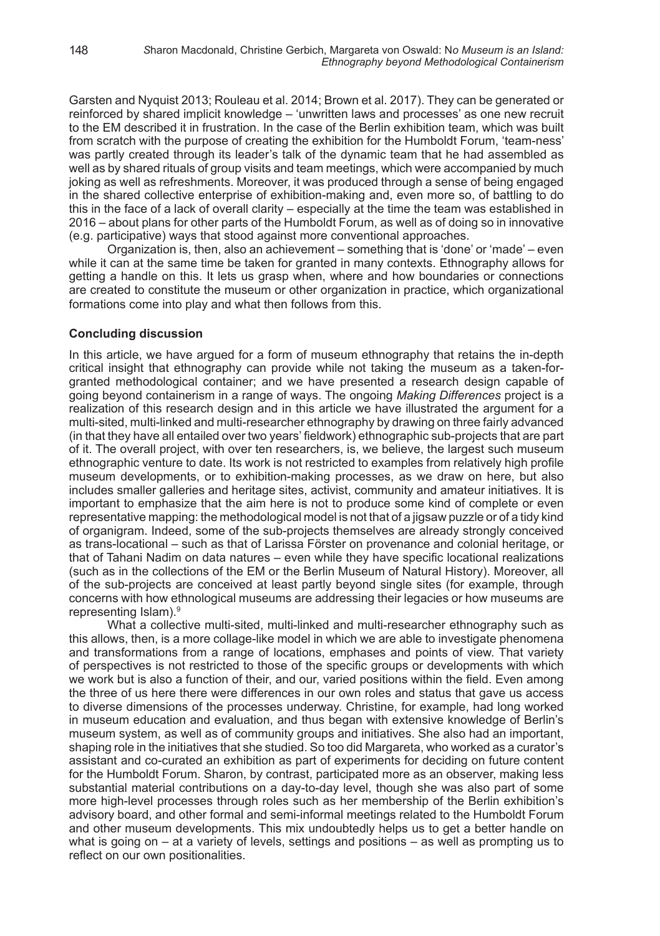Garsten and Nyquist 2013; Rouleau et al. 2014; Brown et al. 2017). They can be generated or reinforced by shared implicit knowledge – 'unwritten laws and processes' as one new recruit to the EM described it in frustration. In the case of the Berlin exhibition team, which was built from scratch with the purpose of creating the exhibition for the Humboldt Forum, 'team-ness' was partly created through its leader's talk of the dynamic team that he had assembled as well as by shared rituals of group visits and team meetings, which were accompanied by much joking as well as refreshments. Moreover, it was produced through a sense of being engaged in the shared collective enterprise of exhibition-making and, even more so, of battling to do this in the face of a lack of overall clarity – especially at the time the team was established in 2016 – about plans for other parts of the Humboldt Forum, as well as of doing so in innovative (e.g. participative) ways that stood against more conventional approaches.

Organization is, then, also an achievement – something that is 'done' or 'made' – even while it can at the same time be taken for granted in many contexts. Ethnography allows for getting a handle on this. It lets us grasp when, where and how boundaries or connections are created to constitute the museum or other organization in practice, which organizational formations come into play and what then follows from this.

#### **Concluding discussion**

In this article, we have argued for a form of museum ethnography that retains the in-depth critical insight that ethnography can provide while not taking the museum as a taken-forgranted methodological container; and we have presented a research design capable of going beyond containerism in a range of ways. The ongoing *Making Differences* project is a realization of this research design and in this article we have illustrated the argument for a multi-sited, multi-linked and multi-researcher ethnography by drawing on three fairly advanced (in that they have all entailed over two years' fieldwork) ethnographic sub-projects that are part of it. The overall project, with over ten researchers, is, we believe, the largest such museum ethnographic venture to date. Its work is not restricted to examples from relatively high profile museum developments, or to exhibition-making processes, as we draw on here, but also includes smaller galleries and heritage sites, activist, community and amateur initiatives. It is important to emphasize that the aim here is not to produce some kind of complete or even representative mapping: the methodological model is not that of a jigsaw puzzle or of a tidy kind of organigram. Indeed, some of the sub-projects themselves are already strongly conceived as trans-locational – such as that of Larissa Förster on provenance and colonial heritage, or that of Tahani Nadim on data natures – even while they have specific locational realizations (such as in the collections of the EM or the Berlin Museum of Natural History). Moreover, all of the sub-projects are conceived at least partly beyond single sites (for example, through concerns with how ethnological museums are addressing their legacies or how museums are representing Islam).<sup>9</sup>

What a collective multi-sited, multi-linked and multi-researcher ethnography such as this allows, then, is a more collage-like model in which we are able to investigate phenomena and transformations from a range of locations, emphases and points of view. That variety of perspectives is not restricted to those of the specific groups or developments with which we work but is also a function of their, and our, varied positions within the field. Even among the three of us here there were differences in our own roles and status that gave us access to diverse dimensions of the processes underway. Christine, for example, had long worked in museum education and evaluation, and thus began with extensive knowledge of Berlin's museum system, as well as of community groups and initiatives. She also had an important, shaping role in the initiatives that she studied. So too did Margareta, who worked as a curator's assistant and co-curated an exhibition as part of experiments for deciding on future content for the Humboldt Forum. Sharon, by contrast, participated more as an observer, making less substantial material contributions on a day-to-day level, though she was also part of some more high-level processes through roles such as her membership of the Berlin exhibition's advisory board, and other formal and semi-informal meetings related to the Humboldt Forum and other museum developments. This mix undoubtedly helps us to get a better handle on what is going on – at a variety of levels, settings and positions – as well as prompting us to reflect on our own positionalities.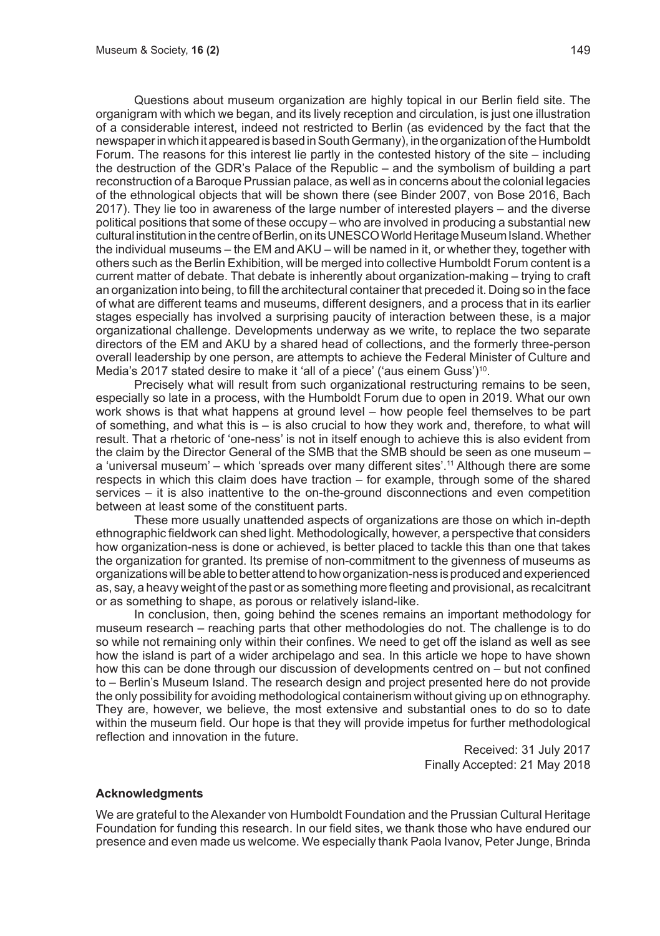Questions about museum organization are highly topical in our Berlin field site. The organigram with which we began, and its lively reception and circulation, is just one illustration of a considerable interest, indeed not restricted to Berlin (as evidenced by the fact that the newspaper in which it appeared is based in South Germany), in the organization of the Humboldt Forum. The reasons for this interest lie partly in the contested history of the site – including the destruction of the GDR's Palace of the Republic – and the symbolism of building a part reconstruction of a Baroque Prussian palace, as well as in concerns about the colonial legacies of the ethnological objects that will be shown there (see Binder 2007, von Bose 2016, Bach 2017). They lie too in awareness of the large number of interested players – and the diverse political positions that some of these occupy – who are involved in producing a substantial new cultural institution in the centre of Berlin, on its UNESCO World Heritage Museum Island. Whether the individual museums – the EM and AKU – will be named in it, or whether they, together with others such as the Berlin Exhibition, will be merged into collective Humboldt Forum content is a current matter of debate. That debate is inherently about organization-making – trying to craft an organization into being, to fill the architectural container that preceded it. Doing so in the face of what are different teams and museums, different designers, and a process that in its earlier stages especially has involved a surprising paucity of interaction between these, is a major organizational challenge. Developments underway as we write, to replace the two separate directors of the EM and AKU by a shared head of collections, and the formerly three-person overall leadership by one person, are attempts to achieve the Federal Minister of Culture and Media's 2017 stated desire to make it 'all of a piece' ('aus einem Guss')<sup>10</sup>.

Precisely what will result from such organizational restructuring remains to be seen, especially so late in a process, with the Humboldt Forum due to open in 2019. What our own work shows is that what happens at ground level – how people feel themselves to be part of something, and what this is  $-$  is also crucial to how they work and, therefore, to what will result. That a rhetoric of 'one-ness' is not in itself enough to achieve this is also evident from the claim by the Director General of the SMB that the SMB should be seen as one museum – a 'universal museum' – which 'spreads over many different sites'.<sup>11</sup> Although there are some respects in which this claim does have traction – for example, through some of the shared services – it is also inattentive to the on-the-ground disconnections and even competition between at least some of the constituent parts.

These more usually unattended aspects of organizations are those on which in-depth ethnographic fieldwork can shed light. Methodologically, however, a perspective that considers how organization-ness is done or achieved, is better placed to tackle this than one that takes the organization for granted. Its premise of non-commitment to the givenness of museums as organizations will be able to better attend to how organization-ness is produced and experienced as, say, a heavy weight of the past or as something more fleeting and provisional, as recalcitrant or as something to shape, as porous or relatively island-like.

In conclusion, then, going behind the scenes remains an important methodology for museum research – reaching parts that other methodologies do not. The challenge is to do so while not remaining only within their confines. We need to get off the island as well as see how the island is part of a wider archipelago and sea. In this article we hope to have shown how this can be done through our discussion of developments centred on – but not confined to – Berlin's Museum Island. The research design and project presented here do not provide the only possibility for avoiding methodological containerism without giving up on ethnography. They are, however, we believe, the most extensive and substantial ones to do so to date within the museum field. Our hope is that they will provide impetus for further methodological reflection and innovation in the future.

> Received: 31 July 2017 Finally Accepted: 21 May 2018

#### **Acknowledgments**

We are grateful to the Alexander von Humboldt Foundation and the Prussian Cultural Heritage Foundation for funding this research. In our field sites, we thank those who have endured our presence and even made us welcome. We especially thank Paola Ivanov, Peter Junge, Brinda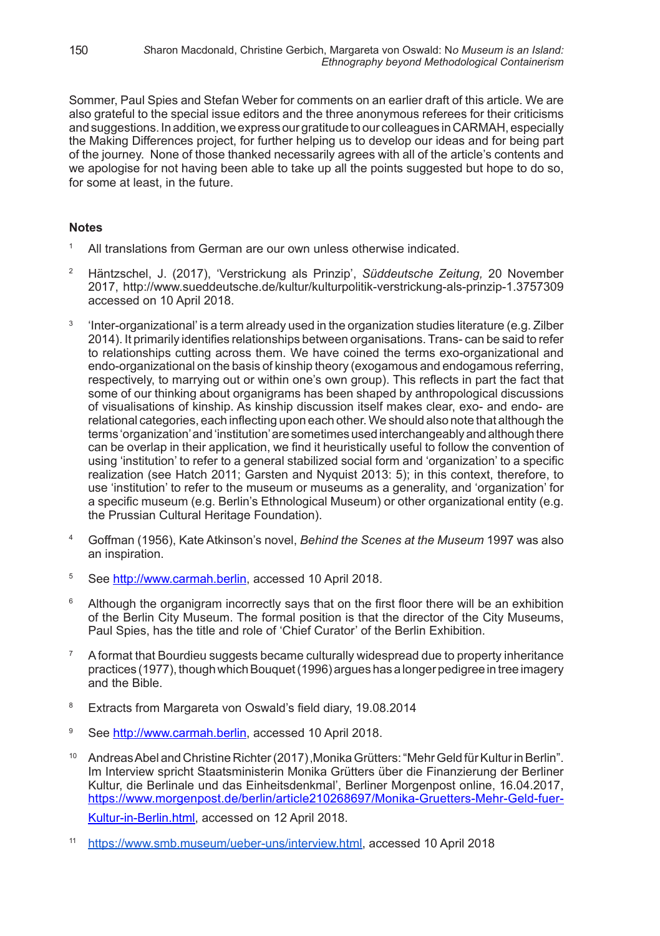Sommer, Paul Spies and Stefan Weber for comments on an earlier draft of this article. We are also grateful to the special issue editors and the three anonymous referees for their criticisms and suggestions. In addition, we express our gratitude to our colleagues in CARMAH, especially the Making Differences project, for further helping us to develop our ideas and for being part of the journey. None of those thanked necessarily agrees with all of the article's contents and we apologise for not having been able to take up all the points suggested but hope to do so. for some at least, in the future.

### **Notes**

- All translations from German are our own unless otherwise indicated.
- <sup>2</sup> Häntzschel, J. (2017), 'Verstrickung als Prinzip', *Süddeutsche Zeitung*, 20 November 2017, http://www.sueddeutsche.de/kultur/kulturpolitik-verstrickung-als-prinzip-1.3757309 accessed on 10 April 2018.
- <sup>3</sup>'Inter-organizational' is a term already used in the organization studies literature (e.g. Zilber 2014). It primarily identifies relationships between organisations. Trans- can be said to refer to relationships cutting across them. We have coined the terms exo-organizational and endo-organizational on the basis of kinship theory (exogamous and endogamous referring, respectively, to marrying out or within one's own group). This reflects in part the fact that some of our thinking about organigrams has been shaped by anthropological discussions of visualisations of kinship. As kinship discussion itself makes clear, exo- and endo- are relational categories, each inflecting upon each other. We should also note that although the terms 'organization' and 'institution' are sometimes used interchangeably and although there can be overlap in their application, we find it heuristically useful to follow the convention of using 'institution' to refer to a general stabilized social form and 'organization' to a specific realization (see Hatch 2011; Garsten and Nyquist 2013: 5); in this context, therefore, to use 'institution' to refer to the museum or museums as a generality, and 'organization' for a specific museum (e.g. Berlin's Ethnological Museum) or other organizational entity (e.g. the Prussian Cultural Heritage Foundation).
- <sup>4</sup>Goffman (1956), Kate Atkinson's novel, *Behind the Scenes at the Museum* 1997 was also an inspiration.
- 5 See http://www.carmah.berlin, accessed 10 April 2018.
- <sup>6</sup> Although the organigram incorrectly says that on the first floor there will be an exhibition of the Berlin City Museum. The formal position is that the director of the City Museums, Paul Spies, has the title and role of 'Chief Curator' of the Berlin Exhibition.
- <sup>7</sup>A format that Bourdieu suggests became culturally widespread due to property inheritance practices (1977), though which Bouquet (1996) argues has a longer pedigree in tree imagery and the Bible.
- <sup>8</sup> Extracts from Margareta von Oswald's field diary, 19.08.2014
- <sup>9</sup> See http://www.carmah.berlin, accessed 10 April 2018.
- <sup>10</sup> Andreas Abel and Christine Richter (2017) , Monika Grütters: "Mehr Geld für Kultur in Berlin". Im Interview spricht Staatsministerin Monika Grütters über die Finanzierung der Berliner Kultur, die Berlinale und das Einheitsdenkmal', Berliner Morgenpost online, 16.04.2017, https://www.morgenpost.de/berlin/article210268697/Monika-Gruetters-Mehr-Geld-fuer-Kultur-in-Berlin.html, accessed on 12 April 2018.
- https://www.smb.museum/ueber-uns/interview.html, accessed 10 April 2018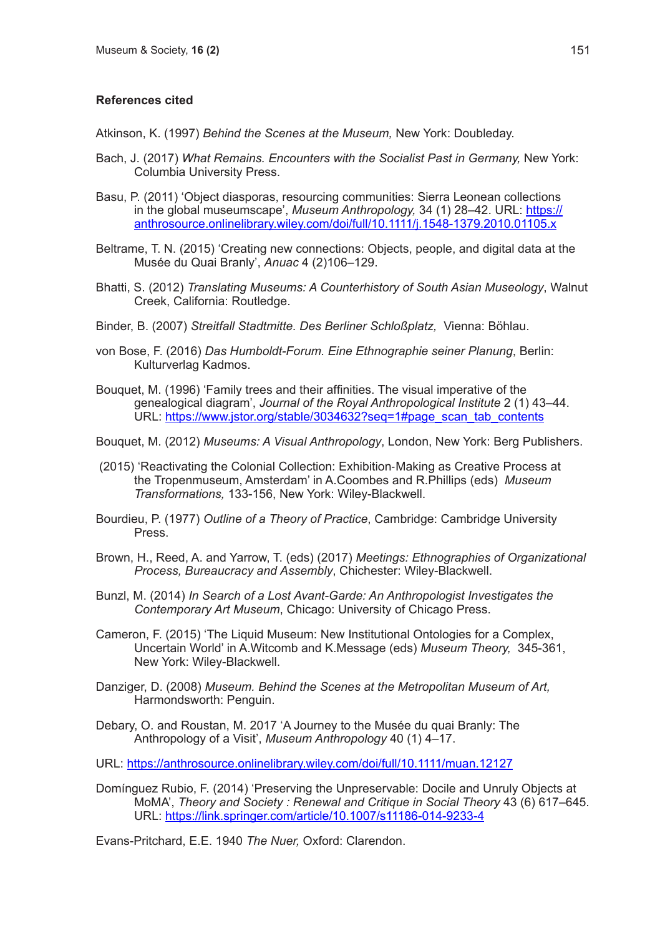## **References cited**

Atkinson, K. (1997) *Behind the Scenes at the Museum,* New York: Doubleday.

- Bach, J. (2017) *What Remains. Encounters with the Socialist Past in Germany,* New York: Columbia University Press.
- Basu, P. (2011) 'Object diasporas, resourcing communities: Sierra Leonean collections in the global museumscape', *Museum Anthropology,* 34 (1) 28–42. URL: https:// anthrosource.onlinelibrary.wiley.com/doi/full/10.1111/j.1548-1379.2010.01105.x
- Beltrame, T. N. (2015) 'Creating new connections: Objects, people, and digital data at the Musée du Quai Branly', *Anuac* 4 (2)106–129.
- Bhatti, S. (2012) *Translating Museums: A Counterhistory of South Asian Museology*, Walnut Creek, California: Routledge.
- Binder, B. (2007) *Streitfall Stadtmitte. Des Berliner Schloßplatz,* Vienna: Böhlau.
- von Bose, F. (2016) *Das Humboldt-Forum. Eine Ethnographie seiner Planung*, Berlin: Kulturverlag Kadmos.
- Bouquet, M. (1996) 'Family trees and their affinities. The visual imperative of the genealogical diagram', *Journal of the Royal Anthropological Institute* 2 (1) 43–44. URL: https://www.jstor.org/stable/3034632?seq=1#page\_scan\_tab\_contents
- Bouquet, M. (2012) *Museums: A Visual Anthropology*, London, New York: Berg Publishers.
- (2015) 'Reactivating the Colonial Collection: Exhibition‐Making as Creative Process at the Tropenmuseum, Amsterdam' in A.Coombes and R.Phillips (eds) *Museum Transformations,* 133-156, New York: Wiley-Blackwell.
- Bourdieu, P. (1977) *Outline of a Theory of Practice*, Cambridge: Cambridge University Press.
- Brown, H., Reed, A. and Yarrow, T. (eds) (2017) *Meetings: Ethnographies of Organizational Process, Bureaucracy and Assembly*, Chichester: Wiley-Blackwell.
- Bunzl, M. (2014) *In Search of a Lost Avant-Garde: An Anthropologist Investigates the Contemporary Art Museum*, Chicago: University of Chicago Press.
- Cameron, F. (2015) 'The Liquid Museum: New Institutional Ontologies for a Complex, Uncertain World' in A.Witcomb and K.Message (eds) *Museum Theory,* 345-361, New York: Wiley-Blackwell.
- Danziger, D. (2008) *Museum. Behind the Scenes at the Metropolitan Museum of Art,*  Harmondsworth: Penguin.
- Debary, O. and Roustan, M. 2017 'A Journey to the Musée du quai Branly: The Anthropology of a Visit', *Museum Anthropology* 40 (1) 4–17.
- URL: https://anthrosource.onlinelibrary.wiley.com/doi/full/10.1111/muan.12127
- Domínguez Rubio, F. (2014) 'Preserving the Unpreservable: Docile and Unruly Objects at MoMA', *Theory and Society : Renewal and Critique in Social Theory* 43 (6) 617–645. URL: https://link.springer.com/article/10.1007/s11186-014-9233-4

Evans-Pritchard, E.E. 1940 *The Nuer,* Oxford: Clarendon.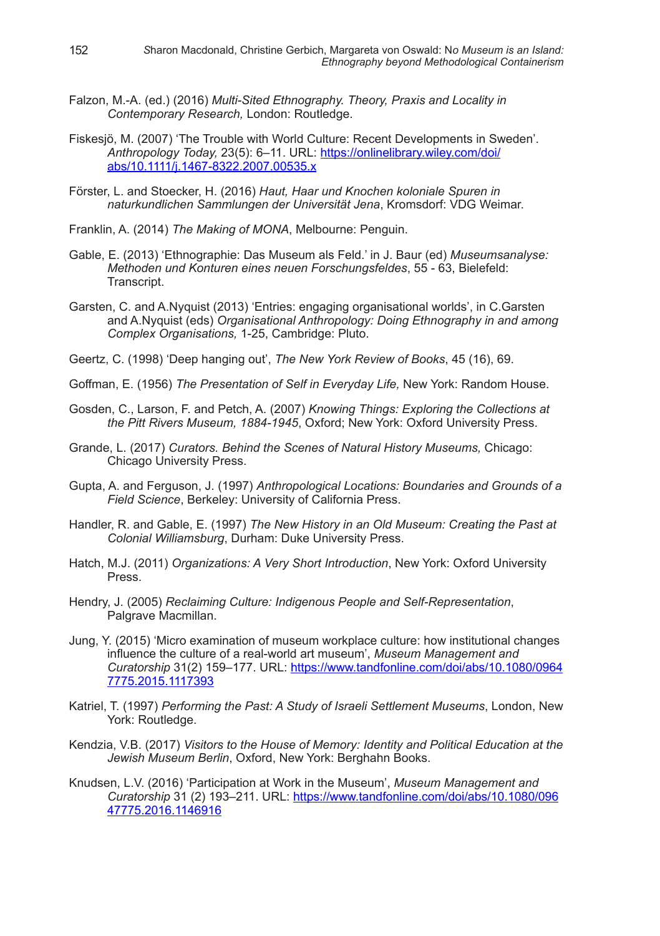- Falzon, M.-A. (ed.) (2016) *Multi-Sited Ethnography. Theory, Praxis and Locality in Contemporary Research,* London: Routledge.
- Fiskesjö, M. (2007) 'The Trouble with World Culture: Recent Developments in Sweden'. *Anthropology Today,* 23(5): 6–11. URL: https://onlinelibrary.wiley.com/doi/ abs/10.1111/j.1467-8322.2007.00535.x
- Förster, L. and Stoecker, H. (2016) *Haut, Haar und Knochen koloniale Spuren in naturkundlichen Sammlungen der Universität Jena*, Kromsdorf: VDG Weimar.
- Franklin, A. (2014) *The Making of MONA*, Melbourne: Penguin.
- Gable, E. (2013) 'Ethnographie: Das Museum als Feld.' in J. Baur (ed) *Museumsanalyse: Methoden und Konturen eines neuen Forschungsfeldes*, 55 - 63, Bielefeld: Transcript.
- Garsten, C. and A.Nyquist (2013) 'Entries: engaging organisational worlds', in C.Garsten and A.Nyquist (eds) *Organisational Anthropology: Doing Ethnography in and among Complex Organisations,* 1-25, Cambridge: Pluto.
- Geertz, C. (1998) 'Deep hanging out', *The New York Review of Books*, 45 (16), 69.
- Goffman, E. (1956) *The Presentation of Self in Everyday Life,* New York: Random House.
- Gosden, C., Larson, F. and Petch, A. (2007) *Knowing Things: Exploring the Collections at the Pitt Rivers Museum, 1884-1945*, Oxford; New York: Oxford University Press.
- Grande, L. (2017) *Curators. Behind the Scenes of Natural History Museums,* Chicago: Chicago University Press.
- Gupta, A. and Ferguson, J. (1997) *Anthropological Locations: Boundaries and Grounds of a Field Science*, Berkeley: University of California Press.
- Handler, R. and Gable, E. (1997) *The New History in an Old Museum: Creating the Past at Colonial Williamsburg*, Durham: Duke University Press.
- Hatch, M.J. (2011) *Organizations: A Very Short Introduction*, New York: Oxford University Press.
- Hendry, J. (2005) *Reclaiming Culture: Indigenous People and Self-Representation*, Palgrave Macmillan.
- Jung, Y. (2015) 'Micro examination of museum workplace culture: how institutional changes influence the culture of a real-world art museum', *Museum Management and Curatorship* 31(2) 159–177. URL: https://www.tandfonline.com/doi/abs/10.1080/0964 7775.2015.1117393
- Katriel, T. (1997) *Performing the Past: A Study of Israeli Settlement Museums*, London, New York: Routledge.
- Kendzia, V.B. (2017) *Visitors to the House of Memory: Identity and Political Education at the Jewish Museum Berlin*, Oxford, New York: Berghahn Books.
- Knudsen, L.V. (2016) 'Participation at Work in the Museum', *Museum Management and Curatorship* 31 (2) 193–211. URL: https://www.tandfonline.com/doi/abs/10.1080/096 47775.2016.1146916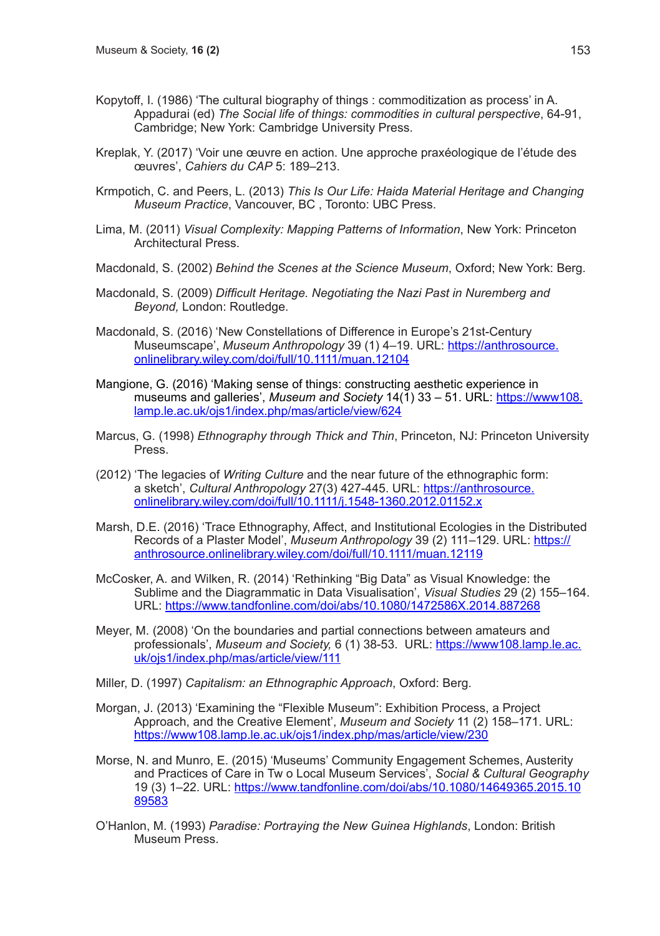- Kopytoff, I. (1986) 'The cultural biography of things : commoditization as process' in A. Appadurai (ed) *The Social life of things: commodities in cultural perspective*, 64-91, Cambridge; New York: Cambridge University Press.
- Kreplak, Y. (2017) 'Voir une œuvre en action. Une approche praxéologique de l'étude des œuvres', *Cahiers du CAP* 5: 189–213.
- Krmpotich, C. and Peers, L. (2013) *This Is Our Life: Haida Material Heritage and Changing Museum Practice*, Vancouver, BC , Toronto: UBC Press.
- Lima, M. (2011) *Visual Complexity: Mapping Patterns of Information*, New York: Princeton Architectural Press.
- Macdonald, S. (2002) *Behind the Scenes at the Science Museum*, Oxford; New York: Berg.
- Macdonald, S. (2009) *Difficult Heritage. Negotiating the Nazi Past in Nuremberg and Beyond,* London: Routledge.
- Macdonald, S. (2016) 'New Constellations of Difference in Europe's 21st-Century Museumscape', *Museum Anthropology* 39 (1) 4–19. URL: https://anthrosource. onlinelibrary.wiley.com/doi/full/10.1111/muan.12104
- Mangione, G. (2016) 'Making sense of things: constructing aesthetic experience in museums and galleries', *Museum and Society* 14(1) 33 – 51. URL: https://www108. lamp.le.ac.uk/ojs1/index.php/mas/article/view/624
- Marcus, G. (1998) *Ethnography through Thick and Thin*, Princeton, NJ: Princeton University Press.
- (2012) 'The legacies of *Writing Culture* and the near future of the ethnographic form: a sketch', *Cultural Anthropology* 27(3) 427-445. URL: https://anthrosource. onlinelibrary.wiley.com/doi/full/10.1111/j.1548-1360.2012.01152.x
- Marsh, D.E. (2016) 'Trace Ethnography, Affect, and Institutional Ecologies in the Distributed Records of a Plaster Model', *Museum Anthropology* 39 (2) 111–129. URL: https:// anthrosource.onlinelibrary.wiley.com/doi/full/10.1111/muan.12119
- McCosker, A. and Wilken, R. (2014) 'Rethinking "Big Data" as Visual Knowledge: the Sublime and the Diagrammatic in Data Visualisation', *Visual Studies* 29 (2) 155–164. URL: https://www.tandfonline.com/doi/abs/10.1080/1472586X.2014.887268
- Meyer, M. (2008) 'On the boundaries and partial connections between amateurs and professionals', *Museum and Society,* 6 (1) 38-53. URL: https://www108.lamp.le.ac. uk/ojs1/index.php/mas/article/view/111
- Miller, D. (1997) *Capitalism: an Ethnographic Approach*, Oxford: Berg.
- Morgan, J. (2013) 'Examining the "Flexible Museum": Exhibition Process, a Project Approach, and the Creative Element', *Museum and Society* 11 (2) 158–171. URL: https://www108.lamp.le.ac.uk/ojs1/index.php/mas/article/view/230
- Morse, N. and Munro, E. (2015) 'Museums' Community Engagement Schemes, Austerity and Practices of Care in Tw o Local Museum Services', *Social & Cultural Geography* 19 (3) 1–22. URL: https://www.tandfonline.com/doi/abs/10.1080/14649365.2015.10 89583
- O'Hanlon, M. (1993) *Paradise: Portraying the New Guinea Highlands*, London: British Museum Press.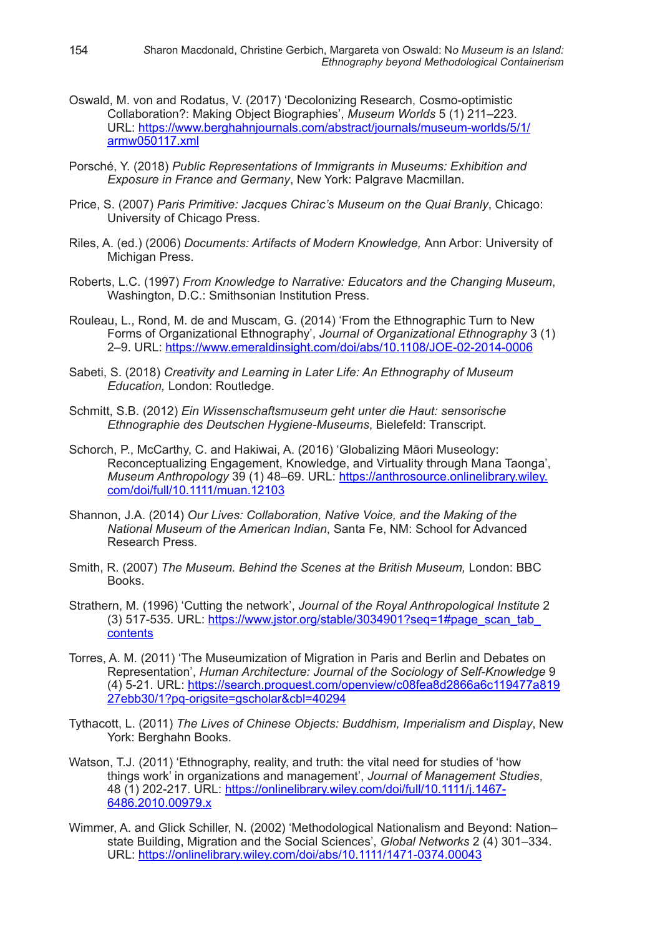- Oswald, M. von and Rodatus, V. (2017) 'Decolonizing Research, Cosmo-optimistic Collaboration?: Making Object Biographies', *Museum Worlds* 5 (1) 211–223. URL: https://www.berghahnjournals.com/abstract/journals/museum-worlds/5/1/ armw050117.xml
- Porsché, Y. (2018) *Public Representations of Immigrants in Museums: Exhibition and Exposure in France and Germany*, New York: Palgrave Macmillan.
- Price, S. (2007) *Paris Primitive: Jacques Chirac's Museum on the Quai Branly*, Chicago: University of Chicago Press.
- Riles, A. (ed.) (2006) *Documents: Artifacts of Modern Knowledge,* Ann Arbor: University of Michigan Press.
- Roberts, L.C. (1997) *From Knowledge to Narrative: Educators and the Changing Museum*, Washington, D.C.: Smithsonian Institution Press.
- Rouleau, L., Rond, M. de and Muscam, G. (2014) 'From the Ethnographic Turn to New Forms of Organizational Ethnography', *Journal of Organizational Ethnography* 3 (1) 2–9. URL: https://www.emeraldinsight.com/doi/abs/10.1108/JOE-02-2014-0006
- Sabeti, S. (2018) *Creativity and Learning in Later Life: An Ethnography of Museum Education,* London: Routledge.
- Schmitt, S.B. (2012) *Ein Wissenschaftsmuseum geht unter die Haut: sensorische Ethnographie des Deutschen Hygiene-Museums*, Bielefeld: Transcript.
- Schorch, P., McCarthy, C. and Hakiwai, A. (2016) 'Globalizing Māori Museology: Reconceptualizing Engagement, Knowledge, and Virtuality through Mana Taonga', *Museum Anthropology* 39 (1) 48–69. URL: https://anthrosource.onlinelibrary.wiley. com/doi/full/10.1111/muan.12103
- Shannon, J.A. (2014) *Our Lives: Collaboration, Native Voice, and the Making of the National Museum of the American Indian*, Santa Fe, NM: School for Advanced Research Press.
- Smith, R. (2007) The Museum. Behind the Scenes at the British Museum, London: BBC Books.
- Strathern, M. (1996) 'Cutting the network', *Journal of the Royal Anthropological Institute* 2 (3) 517-535. URL: https://www.jstor.org/stable/3034901?seq=1#page\_scan\_tab\_ contents
- Torres, A. M. (2011) 'The Museumization of Migration in Paris and Berlin and Debates on Representation', *Human Architecture: Journal of the Sociology of Self-Knowledge* 9 (4) 5-21. URL: https://search.proquest.com/openview/c08fea8d2866a6c119477a819 27ebb30/1?pq-origsite=gscholar&cbl=40294
- Tythacott, L. (2011) *The Lives of Chinese Objects: Buddhism, Imperialism and Display*, New York: Berghahn Books.
- Watson, T.J. (2011) 'Ethnography, reality, and truth: the vital need for studies of 'how things work' in organizations and management', *Journal of Management Studies*, 48 (1) 202-217. URL: https://onlinelibrary.wiley.com/doi/full/10.1111/j.1467- 6486.2010.00979.x
- Wimmer, A. and Glick Schiller, N. (2002) 'Methodological Nationalism and Beyond: Nation– state Building, Migration and the Social Sciences', *Global Networks* 2 (4) 301–334. URL: https://onlinelibrary.wiley.com/doi/abs/10.1111/1471-0374.00043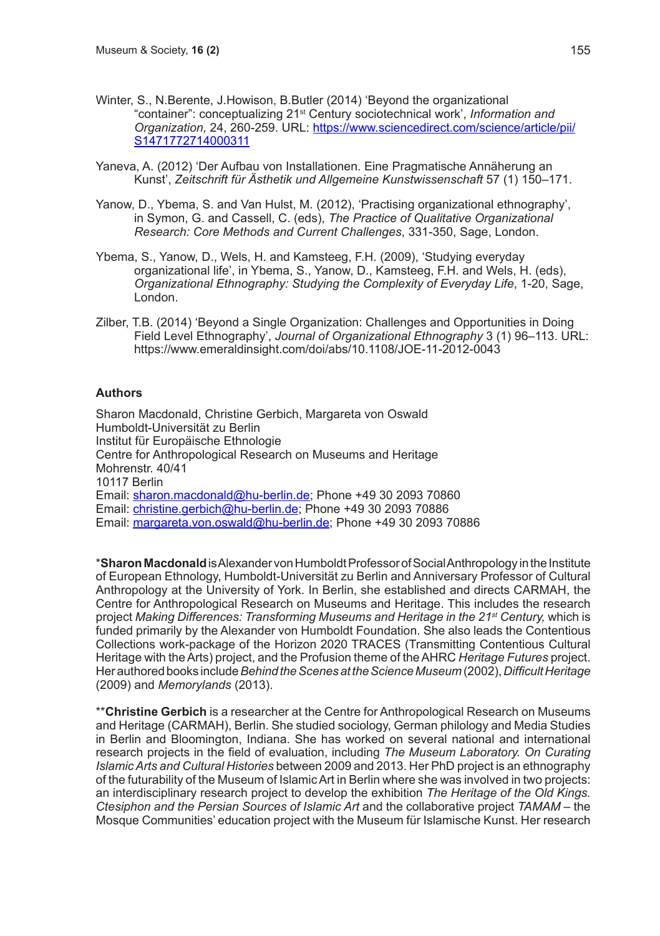- Winter, S., N.Berente, J.Howison, B.Butler (2014) 'Beyond the organizational "container": conceptualizing 21st Century sociotechnical work', *Information and Organization,* 24, 260-259. URL: https://www.sciencedirect.com/science/article/pii/ S1471772714000311
- Yaneva, A. (2012) 'Der Aufbau von Installationen. Eine Pragmatische Annäherung an Kunst', *Zeitschrift für Ästhetik und Allgemeine Kunstwissenschaft* 57 (1) 150–171.
- Yanow, D., Ybema, S. and Van Hulst, M. (2012), 'Practising organizational ethnography', in Symon, G. and Cassell, C. (eds), *The Practice of Qualitative Organizational Research: Core Methods and Current Challenges*, 331-350, Sage, London.
- Ybema, S., Yanow, D., Wels, H. and Kamsteeg, F.H. (2009), 'Studying everyday organizational life', in Ybema, S., Yanow, D., Kamsteeg, F.H. and Wels, H. (eds), *Organizational Ethnography: Studying the Complexity of Everyday Life*, 1-20, Sage, London.
- Zilber, T.B. (2014) 'Beyond a Single Organization: Challenges and Opportunities in Doing Field Level Ethnography', *Journal of Organizational Ethnography* 3 (1) 96–113. URL: https://www.emeraldinsight.com/doi/abs/10.1108/JOE-11-2012-0043

#### **Authors**

Sharon Macdonald, Christine Gerbich, Margareta von Oswald Humboldt-Universität zu Berlin Institut für Europäische Ethnologie Centre for Anthropological Research on Museums and Heritage Mohrenstr. 40/41 10117 Berlin Email: sharon.macdonald@hu-berlin.de; Phone +49 30 2093 70860 Email: christine.gerbich@hu-berlin.de: Phone +49 30 2093 70886 Email: margareta.von.oswald@hu-berlin.de; Phone +49 30 2093 70886

\***Sharon Macdonald** is Alexander von Humboldt Professor of Social Anthropology in the Institute of European Ethnology, Humboldt-Universität zu Berlin and Anniversary Professor of Cultural Anthropology at the University of York. In Berlin, she established and directs CARMAH, the Centre for Anthropological Research on Museums and Heritage. This includes the research project *Making Differences: Transforming Museums and Heritage in the 21st Century,* which is funded primarily by the Alexander von Humboldt Foundation. She also leads the Contentious Collections work-package of the Horizon 2020 TRACES (Transmitting Contentious Cultural Heritage with the Arts) project, and the Profusion theme of the AHRC *Heritage Futures* project. Her authored books include *Behind the Scenes at the Science Museum* (2002), *Difficult Heritage*  (2009) and *Memorylands* (2013).

\*\***Christine Gerbich** is a researcher at the Centre for Anthropological Research on Museums and Heritage (CARMAH), Berlin. She studied sociology, German philology and Media Studies in Berlin and Bloomington, Indiana. She has worked on several national and international research projects in the field of evaluation, including *The Museum Laboratory. On Curating Islamic Arts and Cultural Histories* between 2009 and 2013. Her PhD project is an ethnography of the futurability of the Museum of Islamic Art in Berlin where she was involved in two projects: an interdisciplinary research project to develop the exhibition *The Heritage of the Old Kings. Ctesiphon and the Persian Sources of Islamic Art* and the collaborative project *TAMAM* – the Mosque Communities' education project with the Museum für Islamische Kunst. Her research